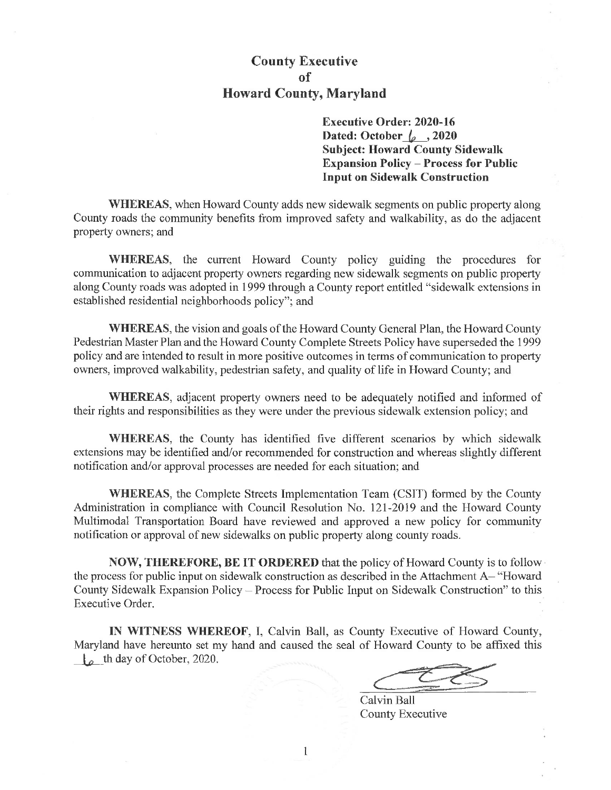## **County Executive Howard County, Maryland**

**Executive Order: 2020-16** Dated: October  $\sqrt{2}$ , 2020 **Subject: Howard County Sidewalk Expansion Policy - Process for Public Input on Sidewalk Construction** 

**WHEREAS**, when Howard County adds new sidewalk segments on public property along County roads the community benefits from improved safety and walkability, as do the adjacent property owners; and

WHEREAS, the current Howard County policy guiding the procedures for communication to adjacent property owners regarding new sidewalk segments on public property along County roads was adopted in 1999 through a County report entitled "sidewalk extensions in established residential neighborhoods policy"; and

**WHEREAS**, the vision and goals of the Howard County General Plan, the Howard County Pedestrian Master Plan and the Howard County Complete Streets Policy have superseded the 1999 policy and are intended to result in more positive outcomes in terms of communication to property owners, improved walkability, pedestrian safety, and quality of life in Howard County; and

WHEREAS, adjacent property owners need to be adequately notified and informed of their rights and responsibilities as they were under the previous sidewalk extension policy; and

WHEREAS, the County has identified five different scenarios by which sidewalk extensions may be identified and/or recommended for construction and whereas slightly different notification and/or approval processes are needed for each situation; and

**WHEREAS**, the Complete Streets Implementation Team (CSIT) formed by the County Administration in compliance with Council Resolution No. 121-2019 and the Howard County Multimodal Transportation Board have reviewed and approved a new policy for community notification or approval of new sidewalks on public property along county roads.

**NOW, THEREFORE, BE IT ORDERED** that the policy of Howard County is to follow the process for public input on sidewalk construction as described in the Attachment A– "Howard" County Sidewalk Expansion Policy - Process for Public Input on Sidewalk Construction" to this Executive Order.

IN WITNESS WHEREOF, I, Calvin Ball, as County Executive of Howard County, Maryland have hereunto set my hand and caused the seal of Howard County to be affixed this  $\frac{1}{2}$  th day of October, 2020.

Calvin Ball County Executive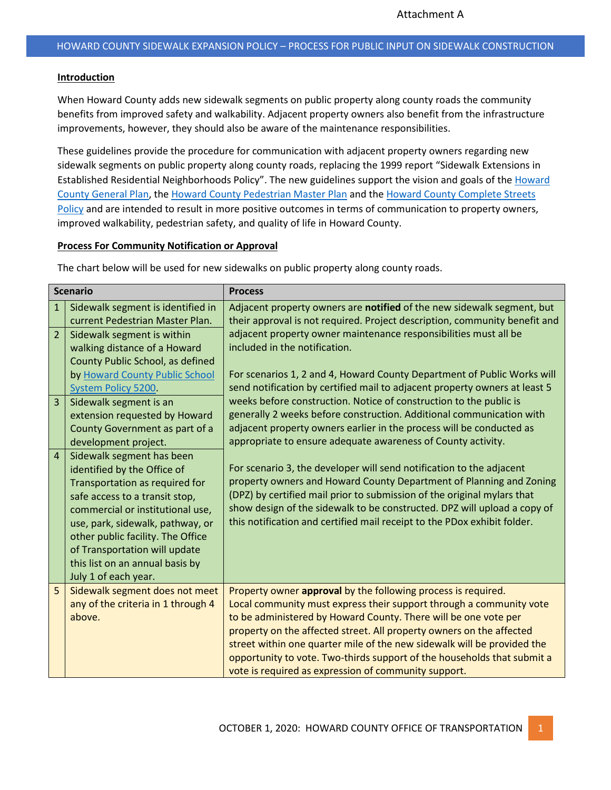## **Introduction**

When Howard County adds new sidewalk segments on public property along county roads the community benefits from improved safety and walkability. Adjacent property owners also benefit from the infrastructure improvements, however, they should also be aware of the maintenance responsibilities.

These guidelines provide the procedure for communication with adjacent property owners regarding new sidewalk segments on public property along county roads, replacing the 1999 report "Sidewalk Extensions in Established Residential Neighborhoods Policy". The new guidelines support the vision and goals of the [Howard](https://www.howardcountymd.gov/LinkClick.aspx?fileticket=znMuWyvBhKQ%3d&portalid=0)  [County General Plan,](https://www.howardcountymd.gov/LinkClick.aspx?fileticket=znMuWyvBhKQ%3d&portalid=0) th[e Howard County Pedestrian Master Plan](https://walkhoward.org/) and the [Howard County Complete Streets](https://www.howardcountymd.gov/LinkClick.aspx?fileticket=JOg4aMIeTJE%3d&tabid=2484&portalid=0)  [Policy](https://www.howardcountymd.gov/LinkClick.aspx?fileticket=JOg4aMIeTJE%3d&tabid=2484&portalid=0) and are intended to result in more positive outcomes in terms of communication to property owners, improved walkability, pedestrian safety, and quality of life in Howard County.

## **Process For Community Notification or Approval**

The chart below will be used for new sidewalks on public property along county roads.

| <b>Scenario</b> |                                                               | <b>Process</b>                                                             |
|-----------------|---------------------------------------------------------------|----------------------------------------------------------------------------|
| $\mathbf{1}$    | Sidewalk segment is identified in                             | Adjacent property owners are notified of the new sidewalk segment, but     |
|                 | current Pedestrian Master Plan.                               | their approval is not required. Project description, community benefit and |
| $\overline{2}$  | Sidewalk segment is within                                    | adjacent property owner maintenance responsibilities must all be           |
|                 | walking distance of a Howard                                  | included in the notification.                                              |
|                 | County Public School, as defined                              |                                                                            |
|                 | by Howard County Public School                                | For scenarios 1, 2 and 4, Howard County Department of Public Works will    |
|                 | System Policy 5200.                                           | send notification by certified mail to adjacent property owners at least 5 |
| $\overline{3}$  | Sidewalk segment is an                                        | weeks before construction. Notice of construction to the public is         |
|                 | extension requested by Howard                                 | generally 2 weeks before construction. Additional communication with       |
|                 | County Government as part of a                                | adjacent property owners earlier in the process will be conducted as       |
|                 | development project.                                          | appropriate to ensure adequate awareness of County activity.               |
| $\overline{4}$  | Sidewalk segment has been                                     | For scenario 3, the developer will send notification to the adjacent       |
|                 | identified by the Office of<br>Transportation as required for | property owners and Howard County Department of Planning and Zoning        |
|                 | safe access to a transit stop,                                | (DPZ) by certified mail prior to submission of the original mylars that    |
|                 | commercial or institutional use,                              | show design of the sidewalk to be constructed. DPZ will upload a copy of   |
|                 | use, park, sidewalk, pathway, or                              | this notification and certified mail receipt to the PDox exhibit folder.   |
|                 | other public facility. The Office                             |                                                                            |
|                 | of Transportation will update                                 |                                                                            |
|                 | this list on an annual basis by                               |                                                                            |
|                 | July 1 of each year.                                          |                                                                            |
| 5               | Sidewalk segment does not meet                                | Property owner approval by the following process is required.              |
|                 | any of the criteria in 1 through 4                            | Local community must express their support through a community vote        |
|                 | above.                                                        | to be administered by Howard County. There will be one vote per            |
|                 |                                                               | property on the affected street. All property owners on the affected       |
|                 |                                                               | street within one quarter mile of the new sidewalk will be provided the    |
|                 |                                                               | opportunity to vote. Two-thirds support of the households that submit a    |
|                 |                                                               | vote is required as expression of community support.                       |